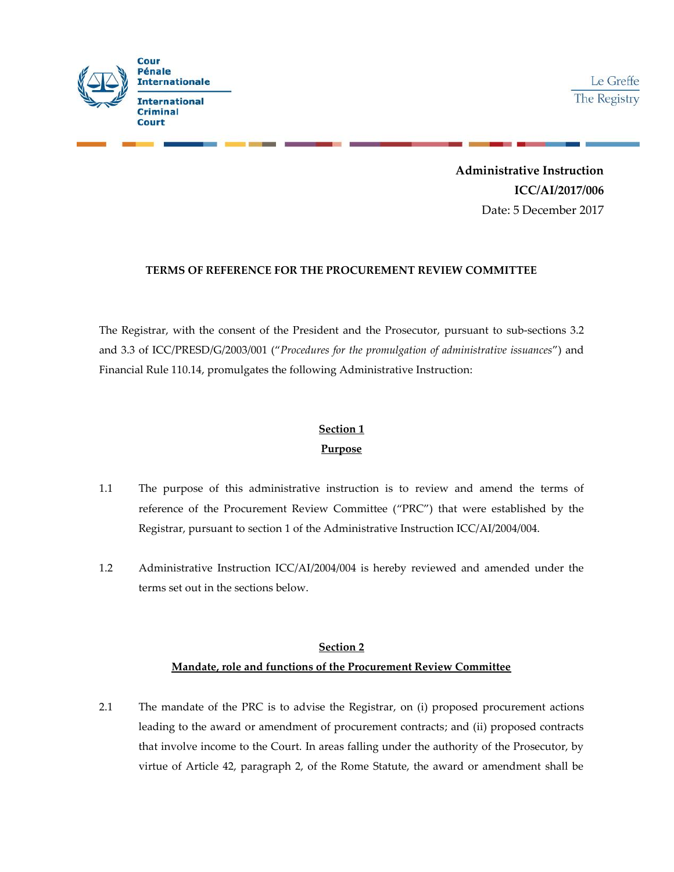

Le Greffe The Registry

**Administrative Instruction ICC/AI/2017/006** Date: 5 December 2017

#### **TERMS OF REFERENCE FOR THE PROCUREMENT REVIEW COMMITTEE**

The Registrar, with the consent of the President and the Prosecutor, pursuant to sub-sections 3.2 and 3.3 of ICC/PRESD/G/2003/001 ("*Procedures for the promulgation of administrative issuances*") and Financial Rule 110.14, promulgates the following Administrative Instruction:

### **Section 1**

#### **Purpose**

- 1.1 The purpose of this administrative instruction is to review and amend the terms of reference of the Procurement Review Committee ("PRC") that were established by the Registrar, pursuant to section 1 of the Administrative Instruction ICC/AI/2004/004.
- 1.2 Administrative Instruction ICC/AI/2004/004 is hereby reviewed and amended under the terms set out in the sections below.

## **Section 2 Mandate, role and functions of the Procurement Review Committee**

2.1 The mandate of the PRC is to advise the Registrar, on (i) proposed procurement actions leading to the award or amendment of procurement contracts; and (ii) proposed contracts that involve income to the Court. In areas falling under the authority of the Prosecutor, by virtue of Article 42, paragraph 2, of the Rome Statute, the award or amendment shall be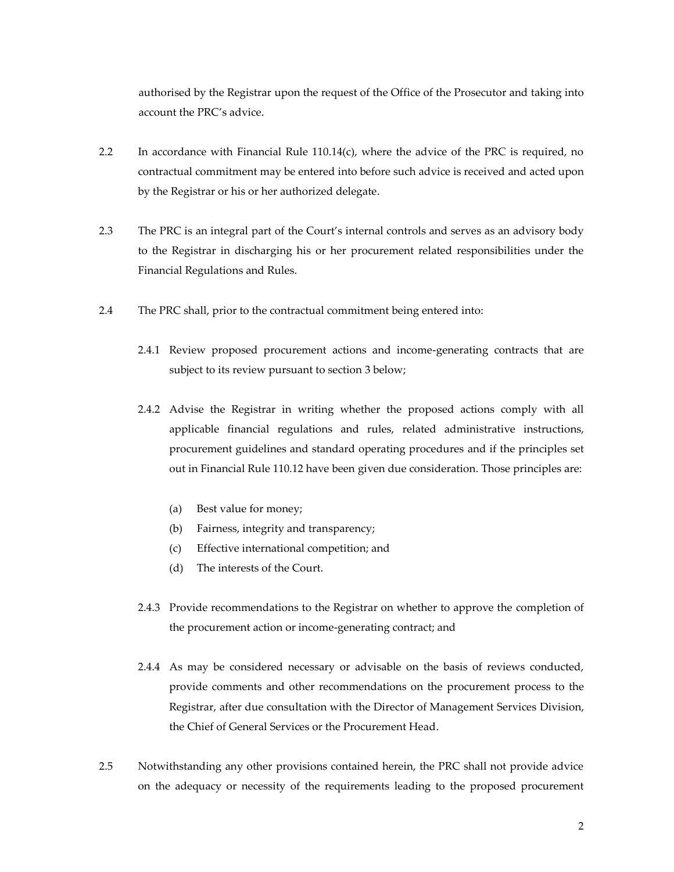authorised by the Registrar upon the request of the Office of the Prosecutor and taking into account the PRC's advice.

- 2.2 In accordance with Financial Rule  $110.14(c)$ , where the advice of the PRC is required, no contractual commitment may be entered into before such advice is received and acted upon by the Registrar or his or her authorized delegate.
- 2.3 The PRC is an integral part of the Court's internal controls and serves as an advisory body to the Registrar in discharging his or her procurement related responsibilities under the Financial Regulations and Rules.
- 2.4 The PRC shall, prior to the contractual commitment being entered into:
	- 2.4.1 Review proposed procurement actions and income-generating contracts that are subject to its review pursuant to section 3 below;
	- 2.4.2 Advise the Registrar in writing whether the proposed actions comply with all applicable financial regulations and rules, related administrative instructions, procurement guidelines and standard operating procedures and if the principles set out in Financial Rule 110.12 have been given due consideration. Those principles are:
		- (a) Best value for money;
		- (b) Fairness, integrity and transparency;
		- (c) Effective international competition; and
		- (d) The interests of the Court.
	- 2.4.3 Provide recommendations to the Registrar on whether to approve the completion of the procurement action or income-generating contract; and
	- 2.4.4 As may be considered necessary or advisable on the basis of reviews conducted, provide comments and other recommendations on the procurement process to the Registrar, after due consultation with the Director of Management Services Division, the Chief of General Services or the Procurement Head.
- 2.5 Notwithstanding any other provisions contained herein, the PRC shall not provide advice on the adequacy or necessity of the requirements leading to the proposed procurement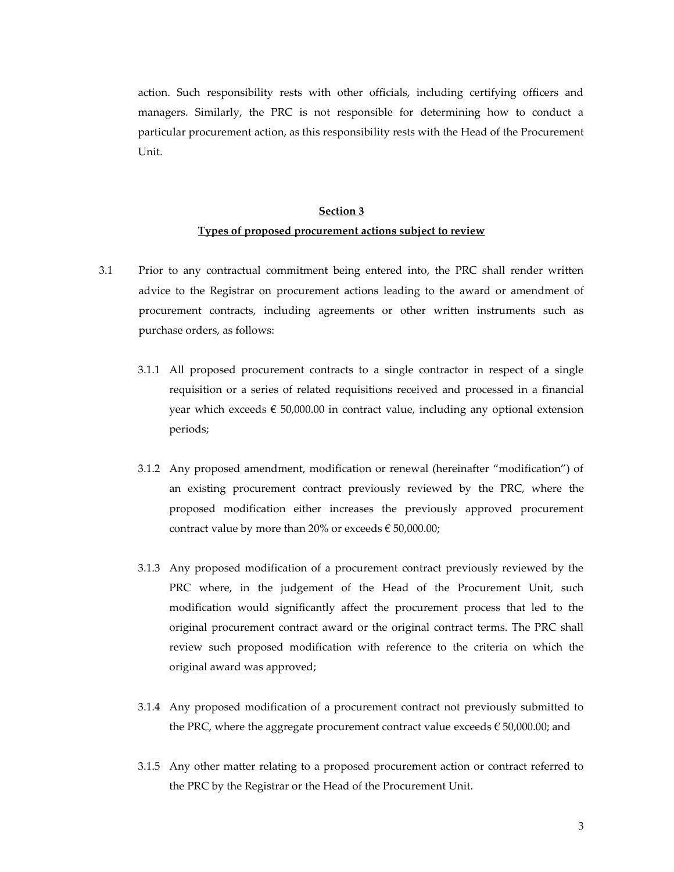action. Such responsibility rests with other officials, including certifying officers and managers. Similarly, the PRC is not responsible for determining how to conduct a particular procurement action, as this responsibility rests with the Head of the Procurement Unit.

## **Section 3 Types of proposed procurement actions subject to review**

- 3.1 Prior to any contractual commitment being entered into, the PRC shall render written advice to the Registrar on procurement actions leading to the award or amendment of procurement contracts, including agreements or other written instruments such as purchase orders, as follows:
	- 3.1.1 All proposed procurement contracts to a single contractor in respect of a single requisition or a series of related requisitions received and processed in a financial year which exceeds  $\epsilon$  50,000.00 in contract value, including any optional extension periods;
	- 3.1.2 Any proposed amendment, modification or renewal (hereinafter "modification") of an existing procurement contract previously reviewed by the PRC, where the proposed modification either increases the previously approved procurement contract value by more than 20% or exceeds  $\epsilon$  50,000.00;
	- 3.1.3 Any proposed modification of a procurement contract previously reviewed by the PRC where, in the judgement of the Head of the Procurement Unit, such modification would significantly affect the procurement process that led to the original procurement contract award or the original contract terms. The PRC shall review such proposed modification with reference to the criteria on which the original award was approved;
	- 3.1.4 Any proposed modification of a procurement contract not previously submitted to the PRC, where the aggregate procurement contract value exceeds  $\epsilon$  50,000.00; and
	- 3.1.5 Any other matter relating to a proposed procurement action or contract referred to the PRC by the Registrar or the Head of the Procurement Unit.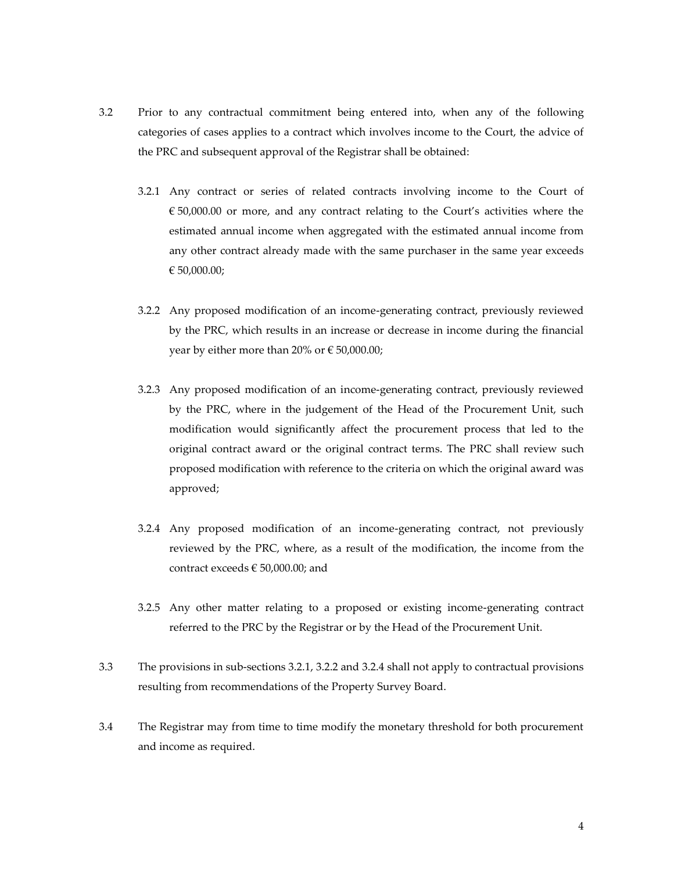- 3.2 Prior to any contractual commitment being entered into, when any of the following categories of cases applies to a contract which involves income to the Court, the advice of the PRC and subsequent approval of the Registrar shall be obtained:
	- 3.2.1 Any contract or series of related contracts involving income to the Court of  $\epsilon$  50,000.00 or more, and any contract relating to the Court's activities where the estimated annual income when aggregated with the estimated annual income from any other contract already made with the same purchaser in the same year exceeds € 50,000.00;
	- 3.2.2 Any proposed modification of an income-generating contract, previously reviewed by the PRC, which results in an increase or decrease in income during the financial year by either more than 20% or  $\epsilon$  50,000.00;
	- 3.2.3 Any proposed modification of an income-generating contract, previously reviewed by the PRC, where in the judgement of the Head of the Procurement Unit, such modification would significantly affect the procurement process that led to the original contract award or the original contract terms. The PRC shall review such proposed modification with reference to the criteria on which the original award was approved;
	- 3.2.4 Any proposed modification of an income-generating contract, not previously reviewed by the PRC, where, as a result of the modification, the income from the contract exceeds  $\in$  50,000.00; and
	- 3.2.5 Any other matter relating to a proposed or existing income-generating contract referred to the PRC by the Registrar or by the Head of the Procurement Unit.
- 3.3 The provisions in sub-sections 3.2.1, 3.2.2 and 3.2.4 shall not apply to contractual provisions resulting from recommendations of the Property Survey Board.
- 3.4 The Registrar may from time to time modify the monetary threshold for both procurement and income as required.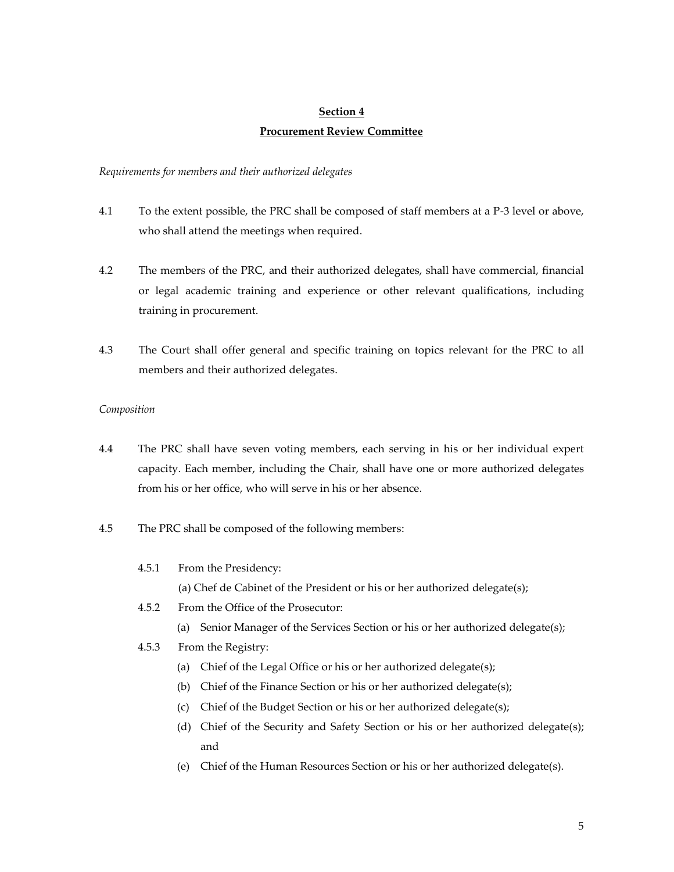## **Section 4 Procurement Review Committee**

#### *Requirements for members and their authorized delegates*

- 4.1 To the extent possible, the PRC shall be composed of staff members at a P-3 level or above, who shall attend the meetings when required.
- 4.2 The members of the PRC, and their authorized delegates, shall have commercial, financial or legal academic training and experience or other relevant qualifications, including training in procurement.
- 4.3 The Court shall offer general and specific training on topics relevant for the PRC to all members and their authorized delegates.

#### *Composition*

- 4.4 The PRC shall have seven voting members, each serving in his or her individual expert capacity. Each member, including the Chair, shall have one or more authorized delegates from his or her office, who will serve in his or her absence.
- 4.5 The PRC shall be composed of the following members:
	- 4.5.1 From the Presidency:
		- (a) Chef de Cabinet of the President or his or her authorized delegate(s);
	- 4.5.2 From the Office of the Prosecutor:
		- (a) Senior Manager of the Services Section or his or her authorized delegate(s);

#### 4.5.3 From the Registry:

- (a) Chief of the Legal Office or his or her authorized delegate(s);
- (b) Chief of the Finance Section or his or her authorized delegate(s);
- (c) Chief of the Budget Section or his or her authorized delegate(s);
- (d) Chief of the Security and Safety Section or his or her authorized delegate(s); and
- (e) Chief of the Human Resources Section or his or her authorized delegate(s).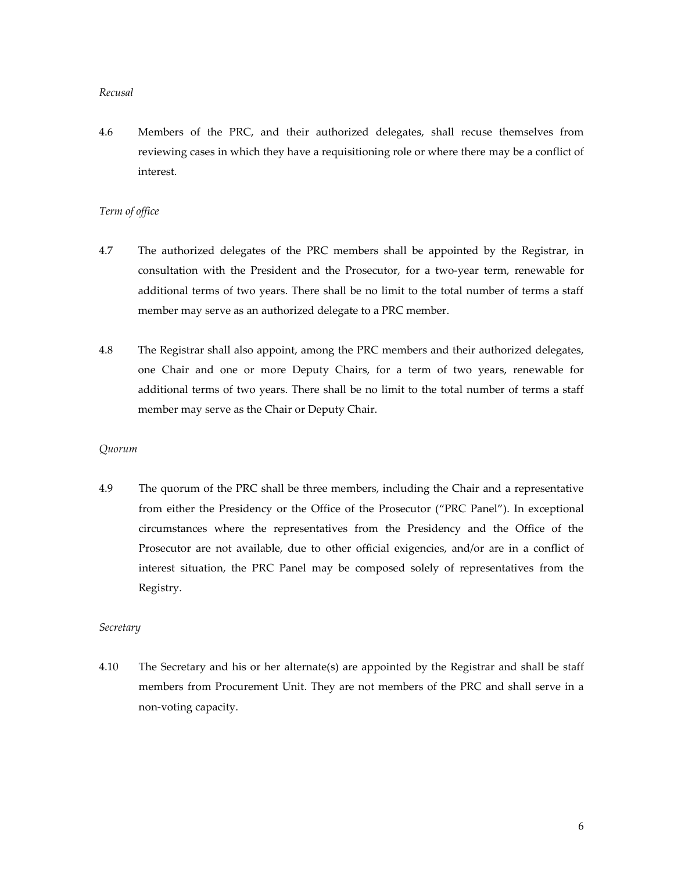#### *Recusal*

4.6 Members of the PRC, and their authorized delegates, shall recuse themselves from reviewing cases in which they have a requisitioning role or where there may be a conflict of interest.

#### *Term of office*

- 4.7 The authorized delegates of the PRC members shall be appointed by the Registrar, in consultation with the President and the Prosecutor, for a two-year term, renewable for additional terms of two years. There shall be no limit to the total number of terms a staff member may serve as an authorized delegate to a PRC member.
- 4.8 The Registrar shall also appoint, among the PRC members and their authorized delegates, one Chair and one or more Deputy Chairs, for a term of two years, renewable for additional terms of two years. There shall be no limit to the total number of terms a staff member may serve as the Chair or Deputy Chair.

#### *Quorum*

4.9 The quorum of the PRC shall be three members, including the Chair and a representative from either the Presidency or the Office of the Prosecutor ("PRC Panel"). In exceptional circumstances where the representatives from the Presidency and the Office of the Prosecutor are not available, due to other official exigencies, and/or are in a conflict of interest situation, the PRC Panel may be composed solely of representatives from the Registry.

#### *Secretary*

4.10 The Secretary and his or her alternate(s) are appointed by the Registrar and shall be staff members from Procurement Unit. They are not members of the PRC and shall serve in a non-voting capacity.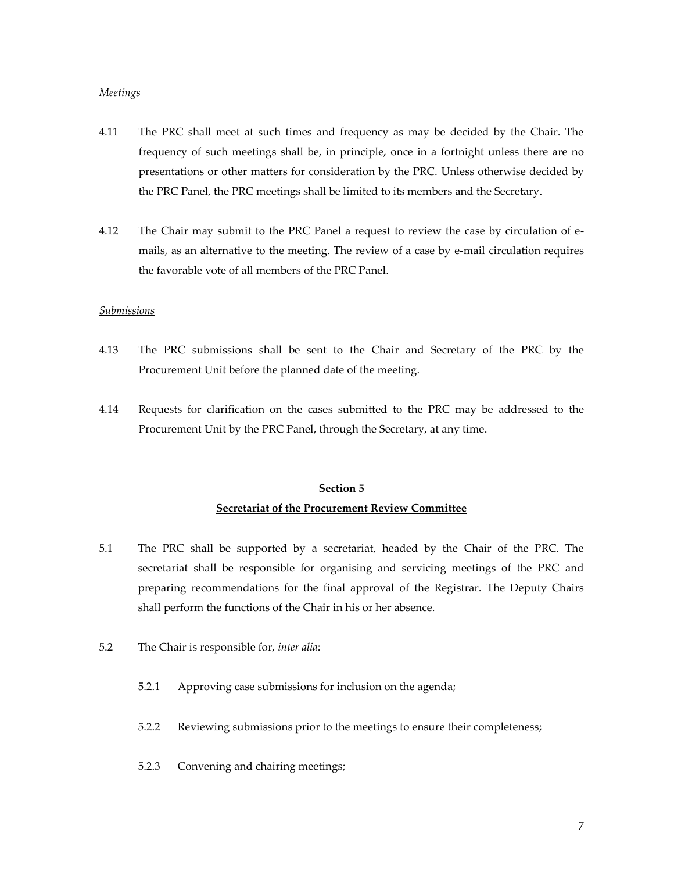#### *Meetings*

- 4.11 The PRC shall meet at such times and frequency as may be decided by the Chair. The frequency of such meetings shall be, in principle, once in a fortnight unless there are no presentations or other matters for consideration by the PRC. Unless otherwise decided by the PRC Panel, the PRC meetings shall be limited to its members and the Secretary.
- 4.12 The Chair may submit to the PRC Panel a request to review the case by circulation of emails, as an alternative to the meeting. The review of a case by e-mail circulation requires the favorable vote of all members of the PRC Panel.

#### *Submissions*

- 4.13 The PRC submissions shall be sent to the Chair and Secretary of the PRC by the Procurement Unit before the planned date of the meeting.
- 4.14 Requests for clarification on the cases submitted to the PRC may be addressed to the Procurement Unit by the PRC Panel, through the Secretary, at any time.

### **Section 5 Secretariat of the Procurement Review Committee**

- 5.1 The PRC shall be supported by a secretariat, headed by the Chair of the PRC. The secretariat shall be responsible for organising and servicing meetings of the PRC and preparing recommendations for the final approval of the Registrar. The Deputy Chairs shall perform the functions of the Chair in his or her absence.
- 5.2 The Chair is responsible for, *inter alia*:
	- 5.2.1 Approving case submissions for inclusion on the agenda;
	- 5.2.2 Reviewing submissions prior to the meetings to ensure their completeness;
	- 5.2.3 Convening and chairing meetings;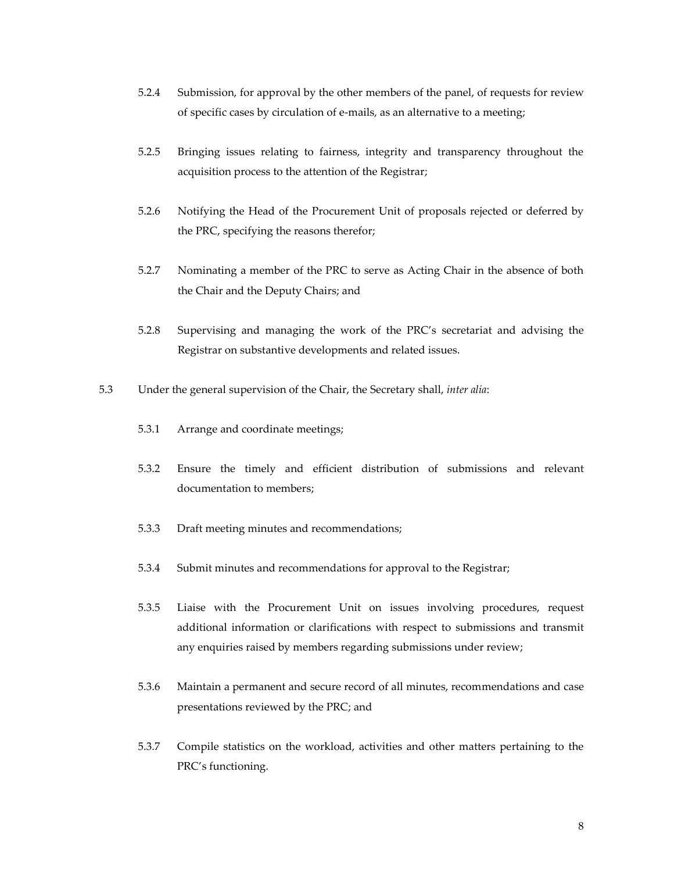- 5.2.4 Submission, for approval by the other members of the panel, of requests for review of specific cases by circulation of e-mails, as an alternative to a meeting;
- 5.2.5 Bringing issues relating to fairness, integrity and transparency throughout the acquisition process to the attention of the Registrar;
- 5.2.6 Notifying the Head of the Procurement Unit of proposals rejected or deferred by the PRC, specifying the reasons therefor;
- 5.2.7 Nominating a member of the PRC to serve as Acting Chair in the absence of both the Chair and the Deputy Chairs; and
- 5.2.8 Supervising and managing the work of the PRC's secretariat and advising the Registrar on substantive developments and related issues.
- 5.3 Under the general supervision of the Chair, the Secretary shall, *inter alia*:
	- 5.3.1 Arrange and coordinate meetings;
	- 5.3.2 Ensure the timely and efficient distribution of submissions and relevant documentation to members;
	- 5.3.3 Draft meeting minutes and recommendations;
	- 5.3.4 Submit minutes and recommendations for approval to the Registrar;
	- 5.3.5 Liaise with the Procurement Unit on issues involving procedures, request additional information or clarifications with respect to submissions and transmit any enquiries raised by members regarding submissions under review;
	- 5.3.6 Maintain a permanent and secure record of all minutes, recommendations and case presentations reviewed by the PRC; and
	- 5.3.7 Compile statistics on the workload, activities and other matters pertaining to the PRC's functioning.